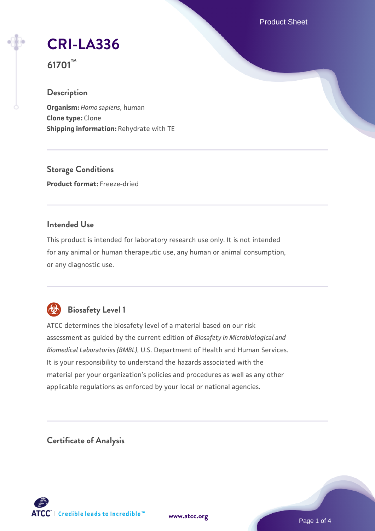Product Sheet

**[CRI-LA336](https://www.atcc.org/products/61701)**

**61701™**

# **Description**

**Organism:** *Homo sapiens*, human **Clone type:** Clone **Shipping information:** Rehydrate with TE

**Storage Conditions Product format:** Freeze-dried

# **Intended Use**

This product is intended for laboratory research use only. It is not intended for any animal or human therapeutic use, any human or animal consumption, or any diagnostic use.



# **Biosafety Level 1**

ATCC determines the biosafety level of a material based on our risk assessment as guided by the current edition of *Biosafety in Microbiological and Biomedical Laboratories (BMBL)*, U.S. Department of Health and Human Services. It is your responsibility to understand the hazards associated with the material per your organization's policies and procedures as well as any other applicable regulations as enforced by your local or national agencies.

**Certificate of Analysis**

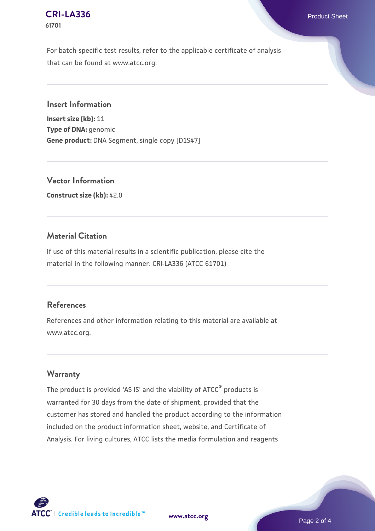#### **[CRI-LA336](https://www.atcc.org/products/61701)** Product Sheet **61701**

For batch-specific test results, refer to the applicable certificate of analysis that can be found at www.atcc.org.

**Insert Information**

**Insert size (kb):** 11 **Type of DNA:** genomic **Gene product:** DNA Segment, single copy [D1S47]

**Vector Information Construct size (kb):** 42.0

# **Material Citation**

If use of this material results in a scientific publication, please cite the material in the following manner: CRI-LA336 (ATCC 61701)

#### **References**

References and other information relating to this material are available at www.atcc.org.

# **Warranty**

The product is provided 'AS IS' and the viability of ATCC® products is warranted for 30 days from the date of shipment, provided that the customer has stored and handled the product according to the information included on the product information sheet, website, and Certificate of Analysis. For living cultures, ATCC lists the media formulation and reagents

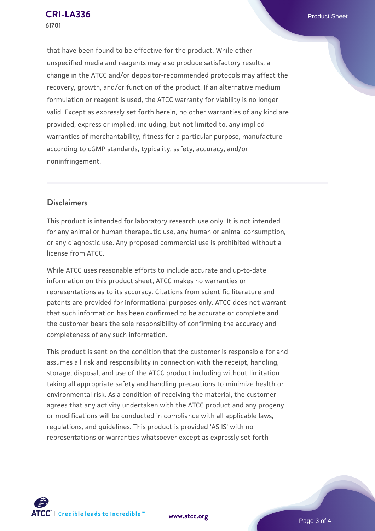that have been found to be effective for the product. While other unspecified media and reagents may also produce satisfactory results, a change in the ATCC and/or depositor-recommended protocols may affect the recovery, growth, and/or function of the product. If an alternative medium formulation or reagent is used, the ATCC warranty for viability is no longer valid. Except as expressly set forth herein, no other warranties of any kind are provided, express or implied, including, but not limited to, any implied warranties of merchantability, fitness for a particular purpose, manufacture according to cGMP standards, typicality, safety, accuracy, and/or noninfringement.

# **Disclaimers**

This product is intended for laboratory research use only. It is not intended for any animal or human therapeutic use, any human or animal consumption, or any diagnostic use. Any proposed commercial use is prohibited without a license from ATCC.

While ATCC uses reasonable efforts to include accurate and up-to-date information on this product sheet, ATCC makes no warranties or representations as to its accuracy. Citations from scientific literature and patents are provided for informational purposes only. ATCC does not warrant that such information has been confirmed to be accurate or complete and the customer bears the sole responsibility of confirming the accuracy and completeness of any such information.

This product is sent on the condition that the customer is responsible for and assumes all risk and responsibility in connection with the receipt, handling, storage, disposal, and use of the ATCC product including without limitation taking all appropriate safety and handling precautions to minimize health or environmental risk. As a condition of receiving the material, the customer agrees that any activity undertaken with the ATCC product and any progeny or modifications will be conducted in compliance with all applicable laws, regulations, and guidelines. This product is provided 'AS IS' with no representations or warranties whatsoever except as expressly set forth



**[www.atcc.org](http://www.atcc.org)**

Page 3 of 4